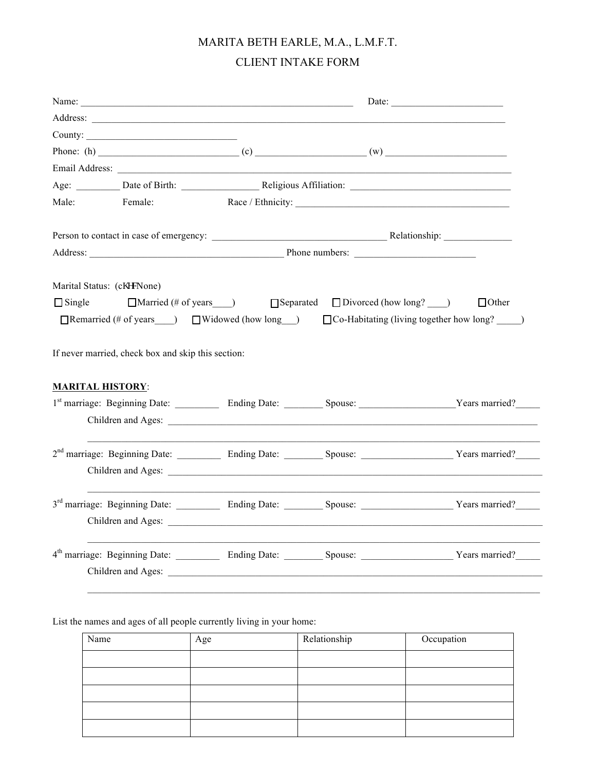## MARITA BETH EARLE, M.A., L.M.F.T. CLIENT INTAKE FORM

|                         |                                                    | Address: |                                                                                                                  |                                                                                                                                 |
|-------------------------|----------------------------------------------------|----------|------------------------------------------------------------------------------------------------------------------|---------------------------------------------------------------------------------------------------------------------------------|
|                         | County:                                            |          |                                                                                                                  |                                                                                                                                 |
|                         |                                                    |          |                                                                                                                  |                                                                                                                                 |
|                         |                                                    |          |                                                                                                                  |                                                                                                                                 |
|                         |                                                    |          |                                                                                                                  |                                                                                                                                 |
|                         | Male: Female:                                      |          |                                                                                                                  |                                                                                                                                 |
|                         |                                                    |          |                                                                                                                  | Person to contact in case of emergency: Relationship:                                                                           |
|                         |                                                    |          |                                                                                                                  |                                                                                                                                 |
|                         | Marital Status: (cj gemone)                        |          |                                                                                                                  |                                                                                                                                 |
| $\Box$ Single           |                                                    |          | $\Box$ Married (# of years ____) $\Box$ Separated $\Box$ Divorced (how long? ____)                               | □ Other                                                                                                                         |
|                         |                                                    |          |                                                                                                                  | $\Box$ Remarried (# of years ___) $\Box$ Widowed (how long __) $\Box$ Co-Habitating (living together how long? ___)             |
|                         |                                                    |          |                                                                                                                  |                                                                                                                                 |
|                         | If never married, check box and skip this section: |          |                                                                                                                  |                                                                                                                                 |
|                         |                                                    |          |                                                                                                                  |                                                                                                                                 |
| <b>MARITAL HISTORY:</b> |                                                    |          |                                                                                                                  |                                                                                                                                 |
|                         |                                                    |          |                                                                                                                  | 1st marriage: Beginning Date: ___________ Ending Date: _________ Spouse: _____________________Years married?_____               |
|                         |                                                    |          |                                                                                                                  |                                                                                                                                 |
|                         |                                                    |          |                                                                                                                  |                                                                                                                                 |
|                         |                                                    |          |                                                                                                                  | 2 <sup>nd</sup> marriage: Beginning Date: ___________ Ending Date: _________ Spouse: ______________________Years married?______ |
|                         |                                                    |          |                                                                                                                  |                                                                                                                                 |
|                         |                                                    |          | and the control of the control of the control of the control of the control of the control of the control of the |                                                                                                                                 |
|                         |                                                    |          |                                                                                                                  | 3 <sup>rd</sup> marriage: Beginning Date: ___________ Ending Date: _________ Spouse: ____________________Years married?______   |
|                         |                                                    |          |                                                                                                                  |                                                                                                                                 |
|                         |                                                    |          |                                                                                                                  |                                                                                                                                 |
|                         |                                                    |          |                                                                                                                  | 4 <sup>th</sup> marriage: Beginning Date: ___________ Ending Date: _________ Spouse: ______________________Years married?______ |
|                         |                                                    |          |                                                                                                                  |                                                                                                                                 |
|                         |                                                    |          |                                                                                                                  |                                                                                                                                 |
|                         |                                                    |          |                                                                                                                  |                                                                                                                                 |

List the names and ages of all people currently living in your home:

| Name | Age | Relationship | Occupation |
|------|-----|--------------|------------|
|      |     |              |            |
|      |     |              |            |
|      |     |              |            |
|      |     |              |            |
|      |     |              |            |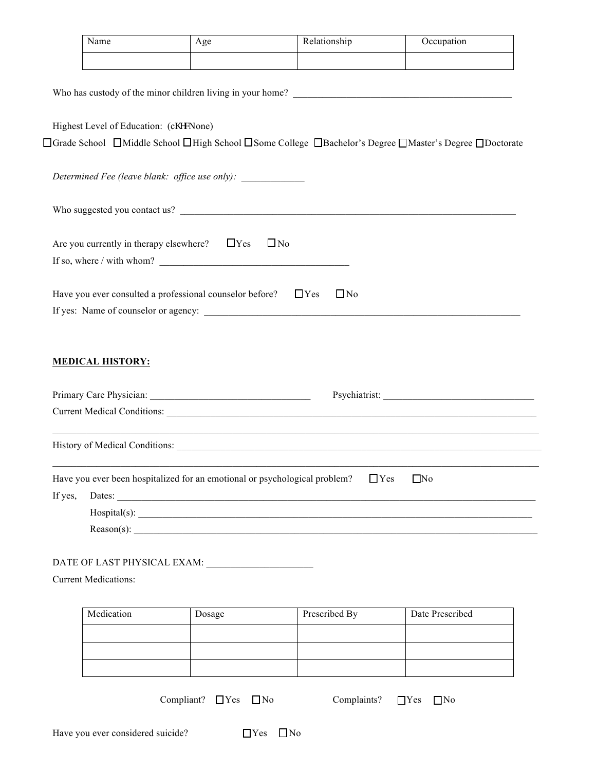| Name                                               | Age                                                                              | Relationship                                                                                                                      | Occupation                                                                                             |
|----------------------------------------------------|----------------------------------------------------------------------------------|-----------------------------------------------------------------------------------------------------------------------------------|--------------------------------------------------------------------------------------------------------|
|                                                    |                                                                                  |                                                                                                                                   |                                                                                                        |
|                                                    |                                                                                  | Who has custody of the minor children living in your home?<br><u>Letting</u> the state of the minor children living in your home? |                                                                                                        |
| Highest Level of Education: (cj gemone)            |                                                                                  |                                                                                                                                   |                                                                                                        |
|                                                    |                                                                                  |                                                                                                                                   | □Grade School □Middle School □High School □Some College □Bachelor's Degree □Master's Degree □Doctorate |
|                                                    | Determined Fee (leave blank: office use only): _________________________________ |                                                                                                                                   |                                                                                                        |
|                                                    |                                                                                  |                                                                                                                                   |                                                                                                        |
| Are you currently in therapy elsewhere? $\Box$ Yes | $\Box$ No                                                                        |                                                                                                                                   |                                                                                                        |
|                                                    |                                                                                  |                                                                                                                                   |                                                                                                        |
|                                                    | Have you ever consulted a professional counselor before? $\Box$ Yes              | $\Box$ No                                                                                                                         |                                                                                                        |
|                                                    |                                                                                  |                                                                                                                                   |                                                                                                        |
| <b>MEDICAL HISTORY:</b>                            |                                                                                  |                                                                                                                                   | Current Medical Conditions:                                                                            |
|                                                    |                                                                                  |                                                                                                                                   |                                                                                                        |
|                                                    | Have you ever been hospitalized for an emotional or psychological problem?       | $\Box$ Yes                                                                                                                        | $\Box$ No                                                                                              |
| If yes,                                            |                                                                                  |                                                                                                                                   |                                                                                                        |
|                                                    |                                                                                  |                                                                                                                                   |                                                                                                        |
|                                                    |                                                                                  | Reason(s): $\qquad \qquad$                                                                                                        |                                                                                                        |
|                                                    |                                                                                  |                                                                                                                                   |                                                                                                        |
| <b>Current Medications:</b>                        |                                                                                  |                                                                                                                                   |                                                                                                        |
| Medication                                         |                                                                                  |                                                                                                                                   |                                                                                                        |
|                                                    | Dosage                                                                           | Prescribed By                                                                                                                     | Date Prescribed                                                                                        |
|                                                    |                                                                                  |                                                                                                                                   |                                                                                                        |
|                                                    |                                                                                  |                                                                                                                                   |                                                                                                        |
|                                                    |                                                                                  |                                                                                                                                   |                                                                                                        |
|                                                    | Compliant? $\Box$ Yes $\Box$ No                                                  | Complaints?                                                                                                                       | $\Box$ No<br>$\Box$ Yes                                                                                |
|                                                    |                                                                                  |                                                                                                                                   |                                                                                                        |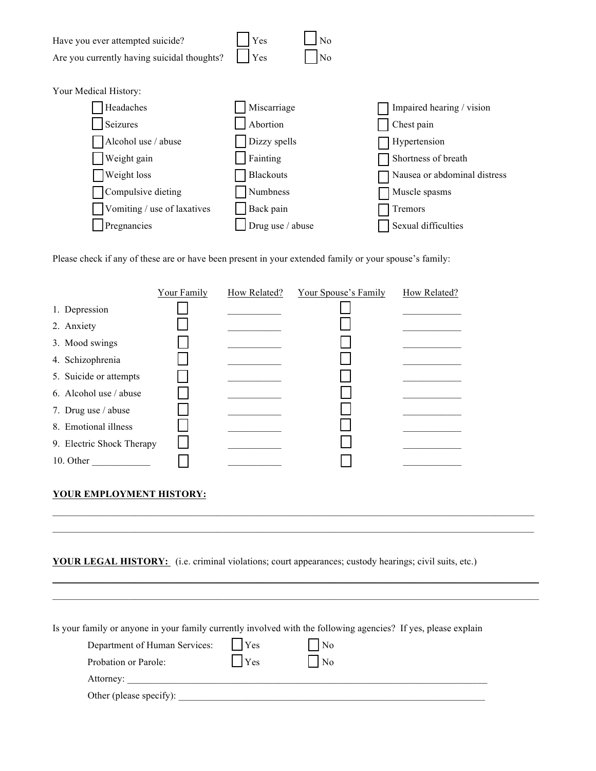

Please check if any of these are or have been present in your extended family or your spouse's family:

|                           | Your Family | How Related? | Your Spouse's Family | How Related? |
|---------------------------|-------------|--------------|----------------------|--------------|
| 1. Depression             |             |              |                      |              |
| 2. Anxiety                |             |              |                      |              |
| 3. Mood swings            |             |              |                      |              |
| 4. Schizophrenia          |             |              |                      |              |
| 5. Suicide or attempts    |             |              |                      |              |
| 6. Alcohol use / abuse    |             |              |                      |              |
| 7. Drug use / abuse       |             |              |                      |              |
| 8. Emotional illness      |             |              |                      |              |
| 9. Electric Shock Therapy |             |              |                      |              |
| 10. Other                 |             |              |                      |              |

## **YOUR EMPLOYMENT HISTORY:**

**YOUR LEGAL HISTORY:** (i.e. criminal violations; court appearances; custody hearings; civil suits, etc.)

 $\mathcal{L}_\mathcal{L} = \mathcal{L}_\mathcal{L} = \mathcal{L}_\mathcal{L} = \mathcal{L}_\mathcal{L} = \mathcal{L}_\mathcal{L} = \mathcal{L}_\mathcal{L} = \mathcal{L}_\mathcal{L} = \mathcal{L}_\mathcal{L} = \mathcal{L}_\mathcal{L} = \mathcal{L}_\mathcal{L} = \mathcal{L}_\mathcal{L} = \mathcal{L}_\mathcal{L} = \mathcal{L}_\mathcal{L} = \mathcal{L}_\mathcal{L} = \mathcal{L}_\mathcal{L} = \mathcal{L}_\mathcal{L} = \mathcal{L}_\mathcal{L}$  $\mathcal{L}_\mathcal{L} = \mathcal{L}_\mathcal{L} = \mathcal{L}_\mathcal{L} = \mathcal{L}_\mathcal{L} = \mathcal{L}_\mathcal{L} = \mathcal{L}_\mathcal{L} = \mathcal{L}_\mathcal{L} = \mathcal{L}_\mathcal{L} = \mathcal{L}_\mathcal{L} = \mathcal{L}_\mathcal{L} = \mathcal{L}_\mathcal{L} = \mathcal{L}_\mathcal{L} = \mathcal{L}_\mathcal{L} = \mathcal{L}_\mathcal{L} = \mathcal{L}_\mathcal{L} = \mathcal{L}_\mathcal{L} = \mathcal{L}_\mathcal{L}$ 

 $\mathcal{L}_\mathcal{L} = \mathcal{L}_\mathcal{L} = \mathcal{L}_\mathcal{L} = \mathcal{L}_\mathcal{L} = \mathcal{L}_\mathcal{L} = \mathcal{L}_\mathcal{L} = \mathcal{L}_\mathcal{L} = \mathcal{L}_\mathcal{L} = \mathcal{L}_\mathcal{L} = \mathcal{L}_\mathcal{L} = \mathcal{L}_\mathcal{L} = \mathcal{L}_\mathcal{L} = \mathcal{L}_\mathcal{L} = \mathcal{L}_\mathcal{L} = \mathcal{L}_\mathcal{L} = \mathcal{L}_\mathcal{L} = \mathcal{L}_\mathcal{L}$  $\mathcal{L}_\mathcal{L} = \{ \mathcal{L}_\mathcal{L} = \{ \mathcal{L}_\mathcal{L} = \{ \mathcal{L}_\mathcal{L} = \{ \mathcal{L}_\mathcal{L} = \{ \mathcal{L}_\mathcal{L} = \{ \mathcal{L}_\mathcal{L} = \{ \mathcal{L}_\mathcal{L} = \{ \mathcal{L}_\mathcal{L} = \{ \mathcal{L}_\mathcal{L} = \{ \mathcal{L}_\mathcal{L} = \{ \mathcal{L}_\mathcal{L} = \{ \mathcal{L}_\mathcal{L} = \{ \mathcal{L}_\mathcal{L} = \{ \mathcal{L}_\mathcal{$ 

Is your family or anyone in your family currently involved with the following agencies? If yes, please explain

| Department of Human Services: | Yes | N <sub>0</sub> |  |
|-------------------------------|-----|----------------|--|
| Probation or Parole:          | Yes | N <sub>0</sub> |  |
| Attorney:                     |     |                |  |
| Other (please specify):       |     |                |  |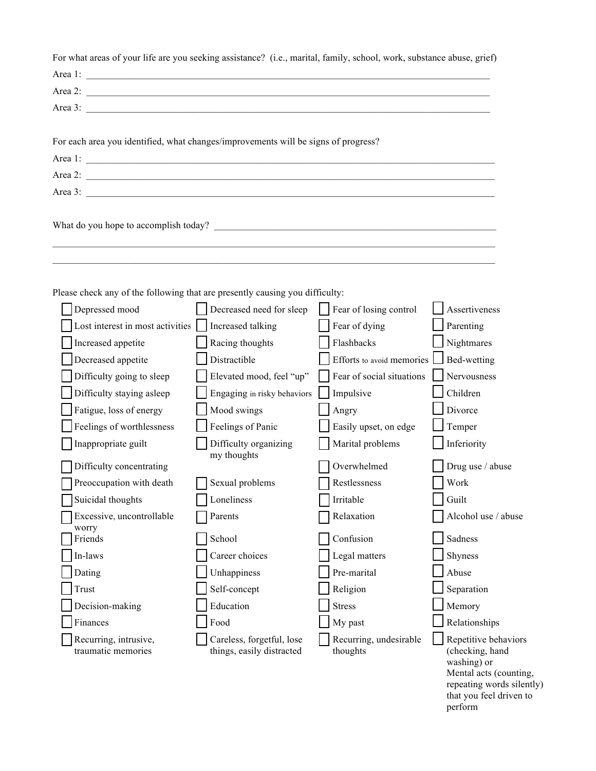| For what areas of your life are you seeking assistance? (i.e., marital, family, school, work, substance abuse, grief)                                                                                                                                                                                                 |                                                        |                                    |                                                                                                                                                     |
|-----------------------------------------------------------------------------------------------------------------------------------------------------------------------------------------------------------------------------------------------------------------------------------------------------------------------|--------------------------------------------------------|------------------------------------|-----------------------------------------------------------------------------------------------------------------------------------------------------|
| Area 1: $\frac{1}{2}$ $\frac{1}{2}$ $\frac{1}{2}$ $\frac{1}{2}$ $\frac{1}{2}$ $\frac{1}{2}$ $\frac{1}{2}$ $\frac{1}{2}$ $\frac{1}{2}$ $\frac{1}{2}$ $\frac{1}{2}$ $\frac{1}{2}$ $\frac{1}{2}$ $\frac{1}{2}$ $\frac{1}{2}$ $\frac{1}{2}$ $\frac{1}{2}$ $\frac{1}{2}$ $\frac{1}{2}$ $\frac{1}{2}$ $\frac{1}{2}$ $\frac$ |                                                        |                                    |                                                                                                                                                     |
| Area 2:                                                                                                                                                                                                                                                                                                               |                                                        |                                    |                                                                                                                                                     |
|                                                                                                                                                                                                                                                                                                                       |                                                        |                                    |                                                                                                                                                     |
| For each area you identified, what changes/improvements will be signs of progress?                                                                                                                                                                                                                                    |                                                        |                                    |                                                                                                                                                     |
|                                                                                                                                                                                                                                                                                                                       |                                                        |                                    |                                                                                                                                                     |
|                                                                                                                                                                                                                                                                                                                       |                                                        |                                    |                                                                                                                                                     |
|                                                                                                                                                                                                                                                                                                                       |                                                        |                                    |                                                                                                                                                     |
|                                                                                                                                                                                                                                                                                                                       |                                                        |                                    |                                                                                                                                                     |
|                                                                                                                                                                                                                                                                                                                       |                                                        |                                    |                                                                                                                                                     |
| Please check any of the following that are presently causing you difficulty:                                                                                                                                                                                                                                          |                                                        |                                    |                                                                                                                                                     |
| Depressed mood                                                                                                                                                                                                                                                                                                        | Decreased need for sleep                               | Fear of losing control             | Assertiveness                                                                                                                                       |
| Lost interest in most activities                                                                                                                                                                                                                                                                                      | Increased talking                                      | Fear of dying                      | Parenting                                                                                                                                           |
| Increased appetite                                                                                                                                                                                                                                                                                                    | Racing thoughts                                        | Flashbacks                         | Nightmares                                                                                                                                          |
| Decreased appetite                                                                                                                                                                                                                                                                                                    | Distractible                                           | Efforts to avoid memories          | Bed-wetting                                                                                                                                         |
| Difficulty going to sleep                                                                                                                                                                                                                                                                                             | Elevated mood, feel "up"                               | Fear of social situations          | Nervousness                                                                                                                                         |
| Difficulty staying asleep                                                                                                                                                                                                                                                                                             | Engaging in risky behaviors                            | Impulsive                          | Children                                                                                                                                            |
| Fatigue, loss of energy                                                                                                                                                                                                                                                                                               | Mood swings                                            | Angry                              | Divorce                                                                                                                                             |
| Feelings of worthlessness                                                                                                                                                                                                                                                                                             | Feelings of Panic                                      | Easily upset, on edge              | Temper                                                                                                                                              |
| Inappropriate guilt                                                                                                                                                                                                                                                                                                   | Difficulty organizing                                  | Marital problems                   | Inferiority                                                                                                                                         |
| Difficulty concentrating                                                                                                                                                                                                                                                                                              | my thoughts                                            | Overwhelmed                        | Drug use / abuse                                                                                                                                    |
| $\Box$ Preoccupation with death                                                                                                                                                                                                                                                                                       | $\Box$ Sexual problems                                 | Restlessness                       | Work                                                                                                                                                |
| Suicidal thoughts                                                                                                                                                                                                                                                                                                     | Loneliness                                             | Irritable                          | Guilt                                                                                                                                               |
| Excessive, uncontrollable                                                                                                                                                                                                                                                                                             | Parents                                                | Relaxation                         | Alcohol use / abuse                                                                                                                                 |
| worry                                                                                                                                                                                                                                                                                                                 |                                                        |                                    | Sadness                                                                                                                                             |
| Friends                                                                                                                                                                                                                                                                                                               | School                                                 | Confusion                          |                                                                                                                                                     |
| In-laws                                                                                                                                                                                                                                                                                                               | Career choices                                         | Legal matters<br>Pre-marital       | Shyness                                                                                                                                             |
| Dating                                                                                                                                                                                                                                                                                                                | Unhappiness                                            |                                    | Abuse                                                                                                                                               |
| Trust                                                                                                                                                                                                                                                                                                                 | Self-concept                                           | Religion                           | Separation                                                                                                                                          |
| Decision-making                                                                                                                                                                                                                                                                                                       | Education                                              | <b>Stress</b>                      | Memory                                                                                                                                              |
| Finances                                                                                                                                                                                                                                                                                                              | Food                                                   | My past                            | Relationships                                                                                                                                       |
| Recurring, intrusive,<br>traumatic memories                                                                                                                                                                                                                                                                           | Careless, forgetful, lose<br>things, easily distracted | Recurring, undesirable<br>thoughts | Repetitive behaviors<br>(checking, hand<br>washing) or<br>Mental acts (counting,<br>repeating words silently)<br>that you feel driven to<br>perform |